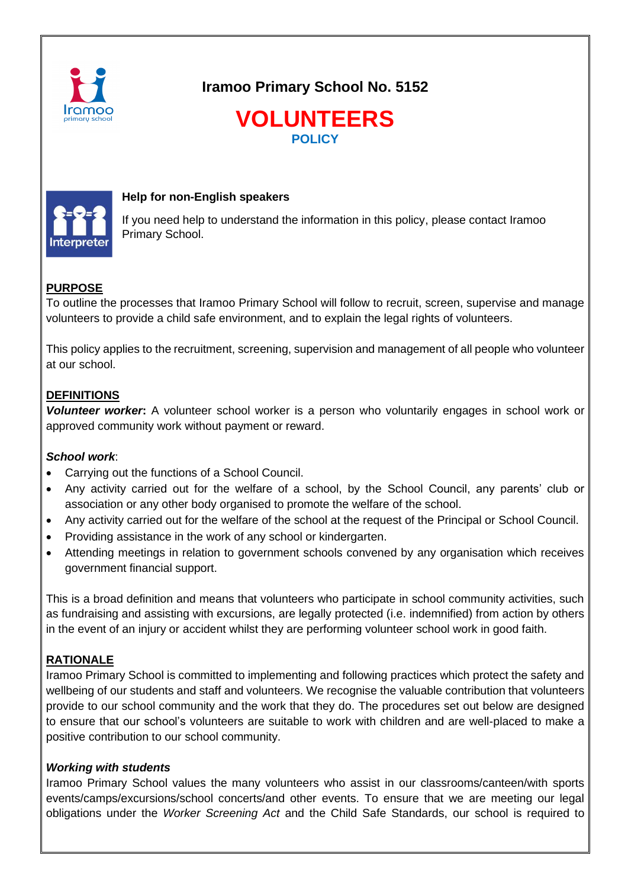

**Iramoo Primary School No. 5152**





## **Help for non-English speakers**

If you need help to understand the information in this policy, please contact Iramoo Primary School.

# **PURPOSE**

To outline the processes that Iramoo Primary School will follow to recruit, screen, supervise and manage volunteers to provide a child safe environment, and to explain the legal rights of volunteers.

This policy applies to the recruitment, screening, supervision and management of all people who volunteer at our school.

## **DEFINITIONS**

*Volunteer worker***:** A volunteer school worker is a person who voluntarily engages in school work or approved community work without payment or reward.

## *School work*:

- Carrying out the functions of a School Council.
- Any activity carried out for the welfare of a school, by the School Council, any parents' club or association or any other body organised to promote the welfare of the school.
- Any activity carried out for the welfare of the school at the request of the Principal or School Council.
- Providing assistance in the work of any school or kindergarten.
- Attending meetings in relation to government schools convened by any organisation which receives government financial support.

This is a broad definition and means that volunteers who participate in school community activities, such as fundraising and assisting with excursions, are legally protected (i.e. indemnified) from action by others in the event of an injury or accident whilst they are performing volunteer school work in good faith.

# **RATIONALE**

Iramoo Primary School is committed to implementing and following practices which protect the safety and wellbeing of our students and staff and volunteers. We recognise the valuable contribution that volunteers provide to our school community and the work that they do. The procedures set out below are designed to ensure that our school's volunteers are suitable to work with children and are well-placed to make a positive contribution to our school community.

## *Working with students*

Iramoo Primary School values the many volunteers who assist in our classrooms/canteen/with sports events/camps/excursions/school concerts/and other events. To ensure that we are meeting our legal obligations under the *Worker Screening Act* and the Child Safe Standards, our school is required to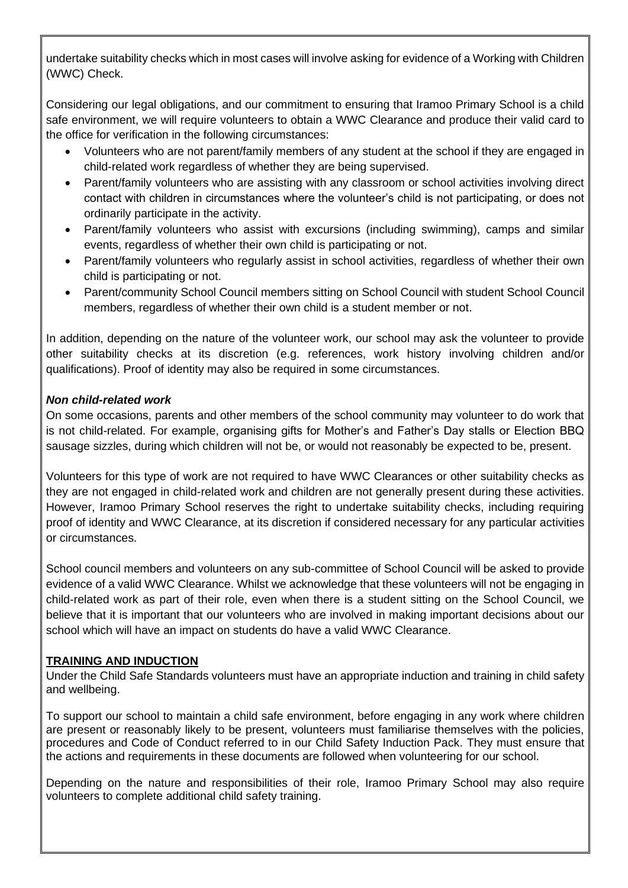undertake suitability checks which in most cases will involve asking for evidence of a Working with Children (WWC) Check.

Considering our legal obligations, and our commitment to ensuring that Iramoo Primary School is a child safe environment, we will require volunteers to obtain a WWC Clearance and produce their valid card to the office for verification in the following circumstances:

- Volunteers who are not parent/family members of any student at the school if they are engaged in child-related work regardless of whether they are being supervised.
- Parent/family volunteers who are assisting with any classroom or school activities involving direct contact with children in circumstances where the volunteer's child is not participating, or does not ordinarily participate in the activity.
- Parent/family volunteers who assist with excursions (including swimming), camps and similar events, regardless of whether their own child is participating or not.
- Parent/family volunteers who regularly assist in school activities, regardless of whether their own child is participating or not.
- Parent/community School Council members sitting on School Council with student School Council members, regardless of whether their own child is a student member or not.

In addition, depending on the nature of the volunteer work, our school may ask the volunteer to provide other suitability checks at its discretion (e.g. references, work history involving children and/or qualifications). Proof of identity may also be required in some circumstances.

# *Non child-related work*

On some occasions, parents and other members of the school community may volunteer to do work that is not child-related. For example, organising gifts for Mother's and Father's Day stalls or Election BBQ sausage sizzles, during which children will not be, or would not reasonably be expected to be, present.

Volunteers for this type of work are not required to have WWC Clearances or other suitability checks as they are not engaged in child-related work and children are not generally present during these activities. However, Iramoo Primary School reserves the right to undertake suitability checks, including requiring proof of identity and WWC Clearance, at its discretion if considered necessary for any particular activities or circumstances.

School council members and volunteers on any sub-committee of School Council will be asked to provide evidence of a valid WWC Clearance. Whilst we acknowledge that these volunteers will not be engaging in child-related work as part of their role, even when there is a student sitting on the School Council, we believe that it is important that our volunteers who are involved in making important decisions about our school which will have an impact on students do have a valid WWC Clearance.

## **TRAINING AND INDUCTION**

Under the Child Safe Standards volunteers must have an appropriate induction and training in child safety and wellbeing.

To support our school to maintain a child safe environment, before engaging in any work where children are present or reasonably likely to be present, volunteers must familiarise themselves with the policies, procedures and Code of Conduct referred to in our Child Safety Induction Pack. They must ensure that the actions and requirements in these documents are followed when volunteering for our school.

Depending on the nature and responsibilities of their role, Iramoo Primary School may also require volunteers to complete additional child safety training.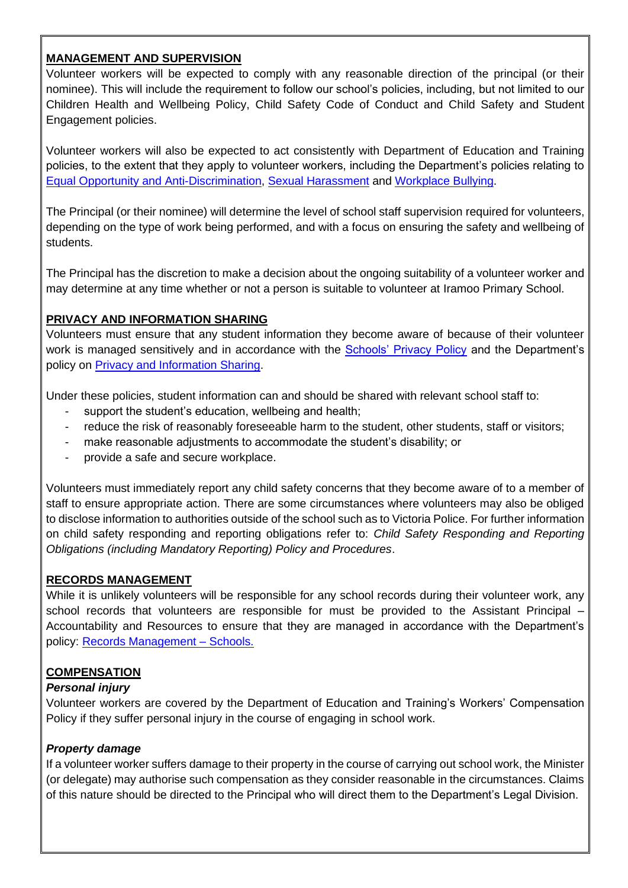## **MANAGEMENT AND SUPERVISION**

Volunteer workers will be expected to comply with any reasonable direction of the principal (or their nominee). This will include the requirement to follow our school's policies, including, but not limited to our Children Health and Wellbeing Policy, Child Safety Code of Conduct and Child Safety and Student Engagement policies.

Volunteer workers will also be expected to act consistently with Department of Education and Training policies, to the extent that they apply to volunteer workers, including the Department's policies relating to [Equal Opportunity and Anti-Discrimination,](https://www2.education.vic.gov.au/pal/equal-opportunity/policy-and-guidelines) [Sexual Harassment](https://www2.education.vic.gov.au/pal/sexual-harassment/overview) and [Workplace Bullying.](https://www2.education.vic.gov.au/pal/workplace-bullying/policy)

The Principal (or their nominee) will determine the level of school staff supervision required for volunteers, depending on the type of work being performed, and with a focus on ensuring the safety and wellbeing of students.

The Principal has the discretion to make a decision about the ongoing suitability of a volunteer worker and may determine at any time whether or not a person is suitable to volunteer at Iramoo Primary School.

## **PRIVACY AND INFORMATION SHARING**

Volunteers must ensure that any student information they become aware of because of their volunteer work is managed sensitively and in accordance with the **Schools' Privacy Policy** and the Department's policy on [Privacy and Information Sharing.](https://www2.education.vic.gov.au/pal/privacy-information-sharing/policy)

Under these policies, student information can and should be shared with relevant school staff to:

- support the student's education, wellbeing and health;
- reduce the risk of reasonably foreseeable harm to the student, other students, staff or visitors;
- make reasonable adjustments to accommodate the student's disability; or
- provide a safe and secure workplace.

Volunteers must immediately report any child safety concerns that they become aware of to a member of staff to ensure appropriate action. There are some circumstances where volunteers may also be obliged to disclose information to authorities outside of the school such as to Victoria Police. For further information on child safety responding and reporting obligations refer to: *Child Safety Responding and Reporting Obligations (including Mandatory Reporting) Policy and Procedures*.

#### **RECORDS MANAGEMENT**

While it is unlikely volunteers will be responsible for any school records during their volunteer work, any school records that volunteers are responsible for must be provided to the Assistant Principal – Accountability and Resources to ensure that they are managed in accordance with the Department's policy: [Records Management –](https://www2.education.vic.gov.au/pal/records-management/policy) Schools.

## **COMPENSATION**

#### *Personal injury*

Volunteer workers are covered by the Department of Education and Training's Workers' Compensation Policy if they suffer personal injury in the course of engaging in school work.

## *Property damage*

If a volunteer worker suffers damage to their property in the course of carrying out school work, the Minister (or delegate) may authorise such compensation as they consider reasonable in the circumstances. Claims of this nature should be directed to the Principal who will direct them to the Department's Legal Division.